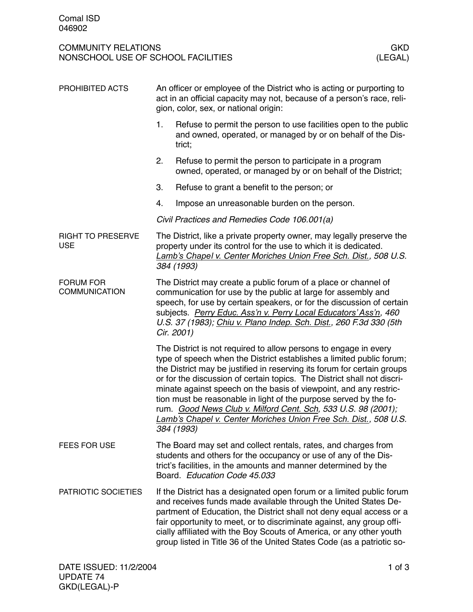| PROHIBITED ACTS                          | An officer or employee of the District who is acting or purporting to<br>act in an official capacity may not, because of a person's race, reli-<br>gion, color, sex, or national origin:                                                                                                                                                                                                                                                                                                                                                                                                    |                                                                                                                                                                                                                                      |  |  |
|------------------------------------------|---------------------------------------------------------------------------------------------------------------------------------------------------------------------------------------------------------------------------------------------------------------------------------------------------------------------------------------------------------------------------------------------------------------------------------------------------------------------------------------------------------------------------------------------------------------------------------------------|--------------------------------------------------------------------------------------------------------------------------------------------------------------------------------------------------------------------------------------|--|--|
|                                          | 1.                                                                                                                                                                                                                                                                                                                                                                                                                                                                                                                                                                                          | Refuse to permit the person to use facilities open to the public<br>and owned, operated, or managed by or on behalf of the Dis-<br>trict;                                                                                            |  |  |
|                                          | 2.                                                                                                                                                                                                                                                                                                                                                                                                                                                                                                                                                                                          | Refuse to permit the person to participate in a program<br>owned, operated, or managed by or on behalf of the District;                                                                                                              |  |  |
|                                          | 3.                                                                                                                                                                                                                                                                                                                                                                                                                                                                                                                                                                                          | Refuse to grant a benefit to the person; or                                                                                                                                                                                          |  |  |
|                                          | 4.                                                                                                                                                                                                                                                                                                                                                                                                                                                                                                                                                                                          | Impose an unreasonable burden on the person.                                                                                                                                                                                         |  |  |
|                                          |                                                                                                                                                                                                                                                                                                                                                                                                                                                                                                                                                                                             | Civil Practices and Remedies Code 106.001(a)                                                                                                                                                                                         |  |  |
| <b>RIGHT TO PRESERVE</b><br><b>USE</b>   | The District, like a private property owner, may legally preserve the<br>property under its control for the use to which it is dedicated.<br>Lamb's Chapel v. Center Moriches Union Free Sch. Dist., 508 U.S.<br>384 (1993)                                                                                                                                                                                                                                                                                                                                                                 |                                                                                                                                                                                                                                      |  |  |
| <b>FORUM FOR</b><br><b>COMMUNICATION</b> | The District may create a public forum of a place or channel of<br>communication for use by the public at large for assembly and<br>speech, for use by certain speakers, or for the discussion of certain<br>subjects. Perry Educ. Ass'n v. Perry Local Educators' Ass'n, 460<br>U.S. 37 (1983); Chiu v. Plano Indep. Sch. Dist., 260 F.3d 330 (5th<br>Cir. 2001)                                                                                                                                                                                                                           |                                                                                                                                                                                                                                      |  |  |
|                                          | The District is not required to allow persons to engage in every<br>type of speech when the District establishes a limited public forum;<br>the District may be justified in reserving its forum for certain groups<br>or for the discussion of certain topics. The District shall not discri-<br>minate against speech on the basis of viewpoint, and any restric-<br>tion must be reasonable in light of the purpose served by the fo-<br>rum. Good News Club v. Milford Cent. Sch, 533 U.S. 98 (2001);<br>Lamb's Chapel v. Center Moriches Union Free Sch. Dist., 508 U.S.<br>384 (1993) |                                                                                                                                                                                                                                      |  |  |
| FEES FOR USE                             |                                                                                                                                                                                                                                                                                                                                                                                                                                                                                                                                                                                             | The Board may set and collect rentals, rates, and charges from<br>students and others for the occupancy or use of any of the Dis-<br>trict's facilities, in the amounts and manner determined by the<br>Board. Education Code 45.033 |  |  |
| PATRIOTIC SOCIETIES                      | If the District has a designated open forum or a limited public forum<br>and receives funds made available through the United States De-<br>partment of Education, the District shall not deny equal access or a<br>fair opportunity to meet, or to discriminate against, any group offi-<br>cially affiliated with the Boy Scouts of America, or any other youth<br>group listed in Title 36 of the United States Code (as a patriotic so-                                                                                                                                                 |                                                                                                                                                                                                                                      |  |  |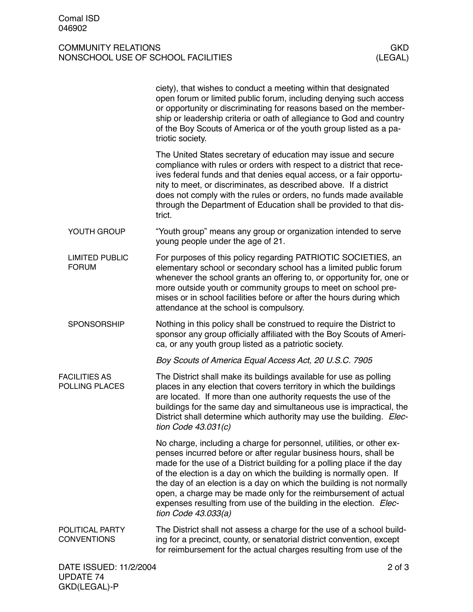GKD(LEGAL)-P

# COMMUNITY RELATIONS<br>
NONSCHOOL USE OF SCHOOL FACILITIES<br>
(LEGAL) NONSCHOOL USE OF SCHOOL FACILITIES

|                                            | ciety), that wishes to conduct a meeting within that designated<br>open forum or limited public forum, including denying such access<br>or opportunity or discriminating for reasons based on the member-<br>ship or leadership criteria or oath of allegiance to God and country<br>of the Boy Scouts of America or of the youth group listed as a pa-<br>triotic society.                                                                                                                                                        |  |
|--------------------------------------------|------------------------------------------------------------------------------------------------------------------------------------------------------------------------------------------------------------------------------------------------------------------------------------------------------------------------------------------------------------------------------------------------------------------------------------------------------------------------------------------------------------------------------------|--|
|                                            | The United States secretary of education may issue and secure<br>compliance with rules or orders with respect to a district that rece-<br>ives federal funds and that denies equal access, or a fair opportu-<br>nity to meet, or discriminates, as described above. If a district<br>does not comply with the rules or orders, no funds made available<br>through the Department of Education shall be provided to that dis-<br>trict.                                                                                            |  |
| YOUTH GROUP                                | "Youth group" means any group or organization intended to serve<br>young people under the age of 21.                                                                                                                                                                                                                                                                                                                                                                                                                               |  |
| <b>LIMITED PUBLIC</b><br><b>FORUM</b>      | For purposes of this policy regarding PATRIOTIC SOCIETIES, an<br>elementary school or secondary school has a limited public forum<br>whenever the school grants an offering to, or opportunity for, one or<br>more outside youth or community groups to meet on school pre-<br>mises or in school facilities before or after the hours during which<br>attendance at the school is compulsory.                                                                                                                                     |  |
| <b>SPONSORSHIP</b>                         | Nothing in this policy shall be construed to require the District to<br>sponsor any group officially affiliated with the Boy Scouts of Ameri-<br>ca, or any youth group listed as a patriotic society.                                                                                                                                                                                                                                                                                                                             |  |
|                                            | Boy Scouts of America Equal Access Act, 20 U.S.C. 7905                                                                                                                                                                                                                                                                                                                                                                                                                                                                             |  |
| <b>FACILITIES AS</b><br>POLLING PLACES     | The District shall make its buildings available for use as polling<br>places in any election that covers territory in which the buildings<br>are located. If more than one authority requests the use of the<br>buildings for the same day and simultaneous use is impractical, the<br>District shall determine which authority may use the building. Elec-<br>tion Code $43.031(c)$                                                                                                                                               |  |
|                                            | No charge, including a charge for personnel, utilities, or other ex-<br>penses incurred before or after regular business hours, shall be<br>made for the use of a District building for a polling place if the day<br>of the election is a day on which the building is normally open. If<br>the day of an election is a day on which the building is not normally<br>open, a charge may be made only for the reimbursement of actual<br>expenses resulting from use of the building in the election. Elec-<br>tion Code 43.033(a) |  |
| POLITICAL PARTY<br><b>CONVENTIONS</b>      | The District shall not assess a charge for the use of a school build-<br>ing for a precinct, county, or senatorial district convention, except<br>for reimbursement for the actual charges resulting from use of the                                                                                                                                                                                                                                                                                                               |  |
| DATE ISSUED: 11/2/2004<br><b>UPDATE 74</b> | $2$ of $3$                                                                                                                                                                                                                                                                                                                                                                                                                                                                                                                         |  |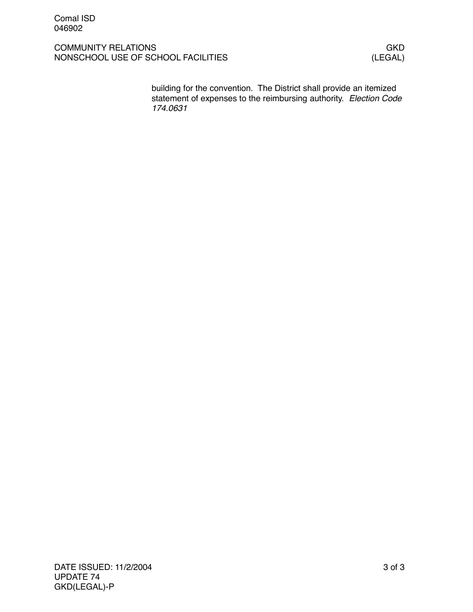building for the convention. The District shall provide an itemized statement of expenses to the reimbursing authority. *Election Code 174.0631*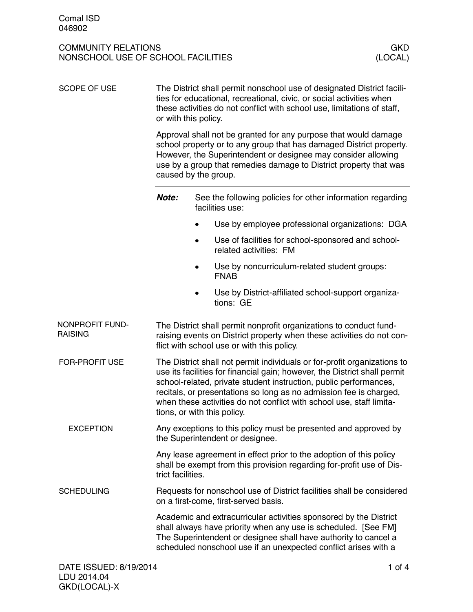| <b>SCOPE OF USE</b>               | The District shall permit nonschool use of designated District facili-<br>ties for educational, recreational, civic, or social activities when<br>these activities do not conflict with school use, limitations of staff,<br>or with this policy.<br>Approval shall not be granted for any purpose that would damage<br>school property or to any group that has damaged District property.<br>However, the Superintendent or designee may consider allowing<br>use by a group that remedies damage to District property that was<br>caused by the group. |                                                                                                                                                                                                                                                                                                                                                                          |  |  |
|-----------------------------------|-----------------------------------------------------------------------------------------------------------------------------------------------------------------------------------------------------------------------------------------------------------------------------------------------------------------------------------------------------------------------------------------------------------------------------------------------------------------------------------------------------------------------------------------------------------|--------------------------------------------------------------------------------------------------------------------------------------------------------------------------------------------------------------------------------------------------------------------------------------------------------------------------------------------------------------------------|--|--|
|                                   |                                                                                                                                                                                                                                                                                                                                                                                                                                                                                                                                                           |                                                                                                                                                                                                                                                                                                                                                                          |  |  |
|                                   | Note:                                                                                                                                                                                                                                                                                                                                                                                                                                                                                                                                                     | See the following policies for other information regarding<br>facilities use:                                                                                                                                                                                                                                                                                            |  |  |
|                                   |                                                                                                                                                                                                                                                                                                                                                                                                                                                                                                                                                           | Use by employee professional organizations: DGA                                                                                                                                                                                                                                                                                                                          |  |  |
|                                   |                                                                                                                                                                                                                                                                                                                                                                                                                                                                                                                                                           | Use of facilities for school-sponsored and school-<br>related activities: FM                                                                                                                                                                                                                                                                                             |  |  |
|                                   |                                                                                                                                                                                                                                                                                                                                                                                                                                                                                                                                                           | Use by noncurriculum-related student groups:<br><b>FNAB</b>                                                                                                                                                                                                                                                                                                              |  |  |
|                                   |                                                                                                                                                                                                                                                                                                                                                                                                                                                                                                                                                           | Use by District-affiliated school-support organiza-<br>tions: GE                                                                                                                                                                                                                                                                                                         |  |  |
| NONPROFIT FUND-<br><b>RAISING</b> |                                                                                                                                                                                                                                                                                                                                                                                                                                                                                                                                                           | The District shall permit nonprofit organizations to conduct fund-<br>raising events on District property when these activities do not con-<br>flict with school use or with this policy.                                                                                                                                                                                |  |  |
| FOR-PROFIT USE                    | tions, or with this policy.                                                                                                                                                                                                                                                                                                                                                                                                                                                                                                                               | The District shall not permit individuals or for-profit organizations to<br>use its facilities for financial gain; however, the District shall permit<br>school-related, private student instruction, public performances,<br>recitals, or presentations so long as no admission fee is charged,<br>when these activities do not conflict with school use, staff limita- |  |  |
| <b>EXCEPTION</b>                  | Any exceptions to this policy must be presented and approved by<br>the Superintendent or designee.                                                                                                                                                                                                                                                                                                                                                                                                                                                        |                                                                                                                                                                                                                                                                                                                                                                          |  |  |
|                                   | Any lease agreement in effect prior to the adoption of this policy<br>shall be exempt from this provision regarding for-profit use of Dis-<br>trict facilities.                                                                                                                                                                                                                                                                                                                                                                                           |                                                                                                                                                                                                                                                                                                                                                                          |  |  |
| <b>SCHEDULING</b>                 | Requests for nonschool use of District facilities shall be considered<br>on a first-come, first-served basis.                                                                                                                                                                                                                                                                                                                                                                                                                                             |                                                                                                                                                                                                                                                                                                                                                                          |  |  |
|                                   | Academic and extracurricular activities sponsored by the District<br>shall always have priority when any use is scheduled. [See FM]<br>The Superintendent or designee shall have authority to cancel a<br>scheduled nonschool use if an unexpected conflict arises with a                                                                                                                                                                                                                                                                                 |                                                                                                                                                                                                                                                                                                                                                                          |  |  |
| DATE ISSUED: 8/19/2014            |                                                                                                                                                                                                                                                                                                                                                                                                                                                                                                                                                           | 1 of $4$                                                                                                                                                                                                                                                                                                                                                                 |  |  |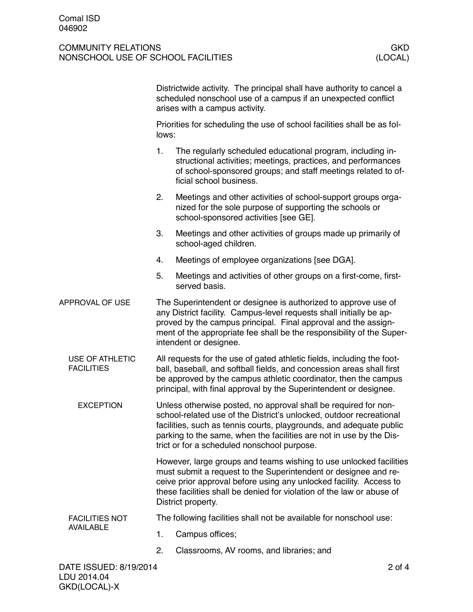|                                             |    | Districtwide activity. The principal shall have authority to cancel a<br>scheduled nonschool use of a campus if an unexpected conflict<br>arises with a campus activity.                                                                                                                                                            |  |  |
|---------------------------------------------|----|-------------------------------------------------------------------------------------------------------------------------------------------------------------------------------------------------------------------------------------------------------------------------------------------------------------------------------------|--|--|
|                                             |    | Priorities for scheduling the use of school facilities shall be as fol-<br>lows:                                                                                                                                                                                                                                                    |  |  |
|                                             | 1. | The regularly scheduled educational program, including in-<br>structional activities; meetings, practices, and performances<br>of school-sponsored groups; and staff meetings related to of-<br>ficial school business.                                                                                                             |  |  |
|                                             | 2. | Meetings and other activities of school-support groups orga-<br>nized for the sole purpose of supporting the schools or<br>school-sponsored activities [see GE].                                                                                                                                                                    |  |  |
|                                             | 3. | Meetings and other activities of groups made up primarily of<br>school-aged children.                                                                                                                                                                                                                                               |  |  |
|                                             | 4. | Meetings of employee organizations [see DGA].                                                                                                                                                                                                                                                                                       |  |  |
|                                             | 5. | Meetings and activities of other groups on a first-come, first-<br>served basis.                                                                                                                                                                                                                                                    |  |  |
| <b>APPROVAL OF USE</b>                      |    | The Superintendent or designee is authorized to approve use of<br>any District facility. Campus-level requests shall initially be ap-<br>proved by the campus principal. Final approval and the assign-<br>ment of the appropriate fee shall be the responsibility of the Super-<br>intendent or designee.                          |  |  |
| <b>USE OF ATHLETIC</b><br><b>FACILITIES</b> |    | All requests for the use of gated athletic fields, including the foot-<br>ball, baseball, and softball fields, and concession areas shall first<br>be approved by the campus athletic coordinator, then the campus<br>principal, with final approval by the Superintendent or designee.                                             |  |  |
| <b>EXCEPTION</b>                            |    | Unless otherwise posted, no approval shall be required for non-<br>school-related use of the District's unlocked, outdoor recreational<br>facilities, such as tennis courts, playgrounds, and adequate public<br>parking to the same, when the facilities are not in use by the Dis-<br>trict or for a scheduled nonschool purpose. |  |  |
|                                             |    | However, large groups and teams wishing to use unlocked facilities<br>must submit a request to the Superintendent or designee and re-<br>ceive prior approval before using any unlocked facility. Access to<br>these facilities shall be denied for violation of the law or abuse of<br>District property.                          |  |  |
| <b>FACILITIES NOT</b>                       |    | The following facilities shall not be available for nonschool use:                                                                                                                                                                                                                                                                  |  |  |
| <b>AVAILABLE</b>                            | 1. | Campus offices;                                                                                                                                                                                                                                                                                                                     |  |  |
|                                             | 2. | Classrooms, AV rooms, and libraries; and                                                                                                                                                                                                                                                                                            |  |  |
|                                             |    |                                                                                                                                                                                                                                                                                                                                     |  |  |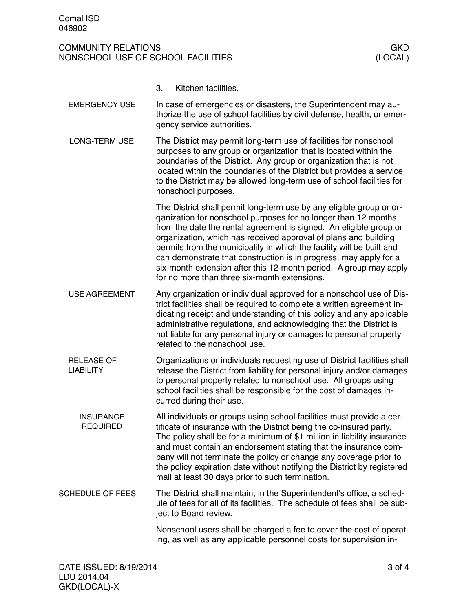3. Kitchen facilities. In case of emergencies or disasters, the Superintendent may authorize the use of school facilities by civil defense, health, or emergency service authorities. The District may permit long-term use of facilities for nonschool purposes to any group or organization that is located within the boundaries of the District. Any group or organization that is not located within the boundaries of the District but provides a service to the District may be allowed long-term use of school facilities for nonschool purposes. The District shall permit long-term use by any eligible group or organization for nonschool purposes for no longer than 12 months from the date the rental agreement is signed. An eligible group or organization, which has received approval of plans and building permits from the municipality in which the facility will be built and can demonstrate that construction is in progress, may apply for a six-month extension after this 12-month period. A group may apply for no more than three six-month extensions. Any organization or individual approved for a nonschool use of District facilities shall be required to complete a written agreement indicating receipt and understanding of this policy and any applicable administrative regulations, and acknowledging that the District is not liable for any personal injury or damages to personal property related to the nonschool use. Organizations or individuals requesting use of District facilities shall release the District from liability for personal injury and/or damages to personal property related to nonschool use. All groups using school facilities shall be responsible for the cost of damages incurred during their use. All individuals or groups using school facilities must provide a certificate of insurance with the District being the co-insured party. The policy shall be for a minimum of \$1 million in liability insurance and must contain an endorsement stating that the insurance company will not terminate the policy or change any coverage prior to the policy expiration date without notifying the District by registered mail at least 30 days prior to such termination. The District shall maintain, in the Superintendent's office, a schedule of fees for all of its facilities. The schedule of fees shall be subject to Board review. Nonschool users shall be charged a fee to cover the cost of operating, as well as any applicable personnel costs for supervision in-EMERGENCY USE LONG-TERM USE USE AGREEMENT RELEASE OF LIABILITY **INSURANCE** REQUIRED SCHEDULE OF FEES